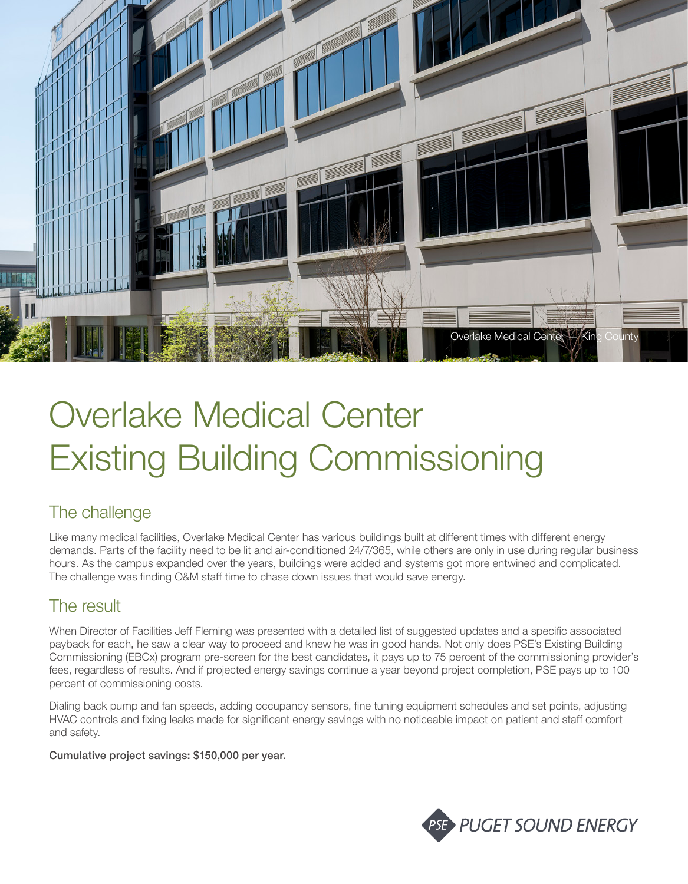

# Overlake Medical Center Existing Building Commissioning

## The challenge

Like many medical facilities, Overlake Medical Center has various buildings built at different times with different energy demands. Parts of the facility need to be lit and air-conditioned 24/7/365, while others are only in use during regular business hours. As the campus expanded over the years, buildings were added and systems got more entwined and complicated. The challenge was finding O&M staff time to chase down issues that would save energy.

## The result

When Director of Facilities Jeff Fleming was presented with a detailed list of suggested updates and a specific associated payback for each, he saw a clear way to proceed and knew he was in good hands. Not only does PSE's Existing Building Commissioning (EBCx) program pre-screen for the best candidates, it pays up to 75 percent of the commissioning provider's fees, regardless of results. And if projected energy savings continue a year beyond project completion, PSE pays up to 100 percent of commissioning costs.

Dialing back pump and fan speeds, adding occupancy sensors, fine tuning equipment schedules and set points, adjusting HVAC controls and fixing leaks made for significant energy savings with no noticeable impact on patient and staff comfort and safety.

Cumulative project savings: \$150,000 per year.